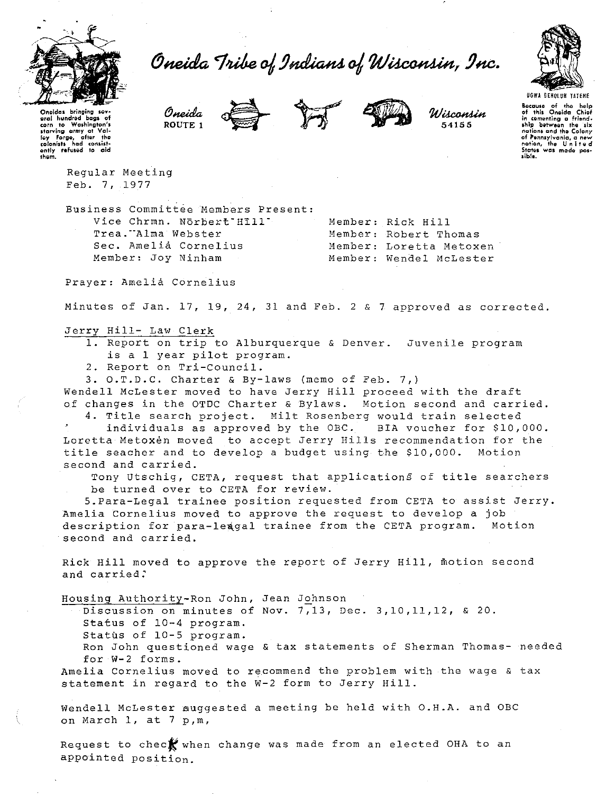

Oneida Tribe of Indians of Wisconsin, Inc.



**UGWA BEHOLUH YATENE** 

Because of the help<br>of this Oneida Chief<br>of this Oneida Chief<br>in comenting a friend-<br>ship between the six<br>notions and the Colony<br>of Pennsylvanic, a new<br>Sittes was made pos-<br>Sittes was made pos $i$  bis.

Oneidas bringing sevaral hundred baas of corn to Washington's Examing army of value<br>(e) forge, after the<br>clonists had consistently refused to aid<br>them.

> Regular Meeting Feb. 7, 1977

Business Committee Members Present: Vice Chrmn. Norbert Hill' Trea."Alma Webster Sec. Amelia Cornelius Member: Joy Ninham

Oneida

ROUTE<sub>1</sub>

Member: Rick Hill Member: Robert Thomas Member: Loretta Metoxen Member: Wendel McLester

Wisconsin

54155

Prayer: Amelia Cornelius

Minutes of Jan. 17, 19, 24, 31 and Feb. 2 & 7 approved as corrected.

# Jerry Hill- Law Clerk

- 1. Report on trip to Alburquerque & Denver. Juvenile program is a 1 year pilot program.
- 2. Report on Tri-Council.
- 3. O.T.D.C. Charter & By-laws (memo of Feb. 7,)

Wendell McLester moved to have Jerry Hill proceed with the draft of changes in the OTDC Charter & Bylaws. Motion second and carried.

4. Title search project. Milt Rosenberg would train selected individuals as approved by the OBC. BIA voucher for \$10,000. Loretta Metoxen moved to accept Jerry Hills recommendation for the title seacher and to develop a budget using the \$10,000. Motion second and carried.

Tony Utschig, CETA, request that applications of title searchers be turned over to CETA for review.

5. Para-Legal trainee position requested from CETA to assist Jerry. Amelia Cornelius moved to approve the request to develop a job description for para-leagal trainee from the CETA program. Motion second and carried.

Rick Hill moved to approve the report of Jerry Hill, motion second and carried.

Housing Authority-Ron John, Jean Johnson

Discussion on minutes of Nov. 7,13, Dec. 3,10,11,12, & 20.

- Status of 10-4 program.
- Status of 10-5 program.
- Ron John questioned wage & tax statements of Sherman Thomas- needed for W-2 forms.

Amelia Cornelius moved to recommend the problem with the wage & tax statement in regard to the W-2 form to Jerry Hill.

Wendell McLester auggested a meeting be held with O.H.A. and OBC on March 1, at 7 p,m,

Request to check when change was made from an elected OHA to an appointed position.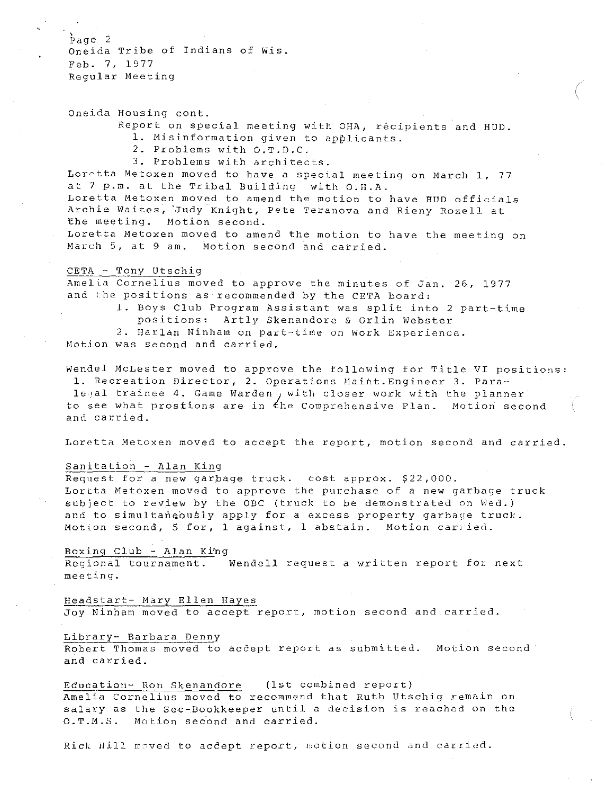$paq$ e 2 Oneida Tribe of Indians of Wis. Feb. 7, 1977 Regular Meeting

Oneida Housing cont.

Report on special meeting with OHA, recipients and HUD.

/ r.

l. Misinformation given to applicants.

2. Problems with O.T.D.C.

3. Problems with architects.

Lorrtta Metoxen moved to have a special meeting on March 1, 77 at 7 p.m. at the Tribal Building with O.H.A.

Loretta Metoxen moved to amend the motion to have BUD officials Archie Waites, Judy Knight, Pete Teranova and Rieny Rozell at The meeting. Motion second.

Loretta Metoxen moved to amend the motion to have the meeting on March 5, at 9 am. Motion second and carried.

# CETA - Tony Utschig

Amelia Cornelius moved to approve the minutes of Jan. 26, 1977 and ihe positions as recommended by the CETA board:

> l. Boys Club Program Assistant was split into 2 part-time positions: Artly Skenandore & Orlin Webster

2. Harlan Ninham on part-time on Work Experience.

Motion was second and carried.

Wendel McLester moved to approve the following for Title VI positions: 1. Recreation Director, 2. Operations Maiht.Engineer 3. Paralegal trainee 4. Game Warden, with closer work with the planner to see what prostions are in *the* Comprehensive Plan. Motion second and carried.

Loretta Metoxen moved to accept the report, motion second and carried.

# Sanitation - Alan King

Request for a new garbage truck. cost approx. \$22,000. Lortta Metoxen moved to approve the purchase of a new garbage truck subject to review by the OBC (truck to be demonstrated on Wed.) and to simultaneously apply for a excess property garbage truck. Motion second, 5 for, 1 against, 1 abstain. Motion carried.

# Boxing Club - Alan Ki'ng

Regional tournament. Wendell request a written report fox next meeting.

Headstart- Mary Ellen Hayes

Joy Ninham moved to accept report, motion second and carried.

#### Library- Barbara Denny

<u>nternal corrects from .</u><br>Robert Thomas moved to accept report as submitted. Motion second and carried.

# Education- Ron Skenandore (1st combined report}

Amelia Cornelius moved to recommend that Ruth Utschig remain on salary as the Sec-Bookkeeper until a decision is reached on the O.T.M.S. Motion second and carried.

Rick Hill moved to acdept report, motion second and carried.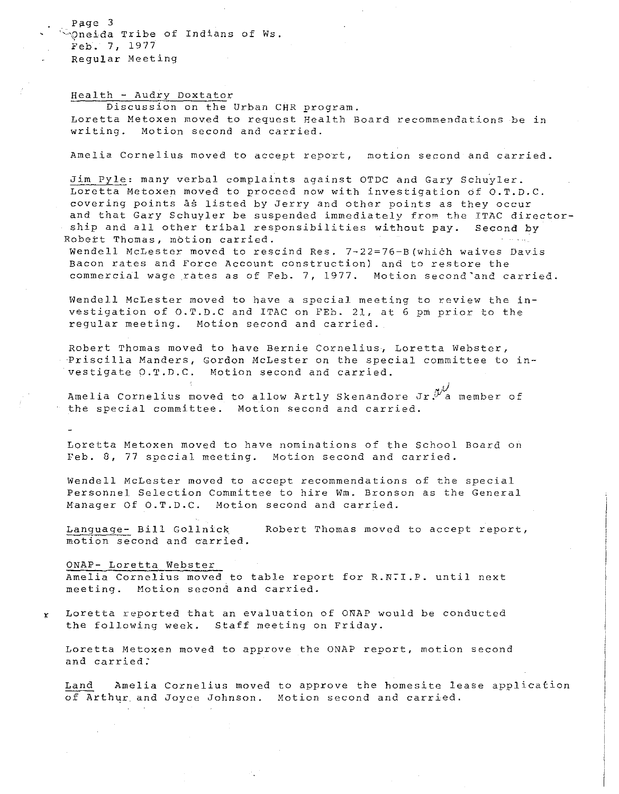Page 3 Oneida Tribe of Indians of Ws. Feb. 7, 1977 Regular Meeting

# Health - Audry Doxtator

Discussion on the Urban CHR program. Loretta Metoxen moved to request Health Board recommendations be in writing. Motion second and carried.

Amelia Cornelius moved to accept report, motion second and carried.

Jim Pyle: many verbal complaints against OTDC and Gary Schuyler. Loretta Metoxen moved to proceed now with investigation of O.T.D.C. covering points as listed by Jerry and other points as they occur and that Gary Schuyler be suspended immediately from the ITAC directorship and all other tribal responsibilities without pay. Second by Robert Thomas, motion carried. وللحاجب

wendell McLester moved to rescind Res. 7-22=76-B(which waives Davis Bacon rates and Force Account construction) and to restore the commercial wage rates as of Feb. 7, 1977. Motion second'and carried.

Wendell McLester moved to have a special meeting to review the investigation of O.T.D.C and ITAC on FEb. 21, at 6 pm prior to the regular meeting. Motion second and carried.

Robert Thomas moved to have Bernie Cornelius, Loretta Webster, Priscilla Manders, Gordon McLester on the special committee to investigate O.T.D.C. Motion second and carried.

Amelia Cornelius moved to allow Artly Skenandore Jr.<sup>N/</sup>a member of the special committee. Motion second and carried.

Loretta Metoxen moved to have nominations of the School Board on Feb. 8, 77 special meeting. Motion second and carried.

Wendell McLester moved to accept recommendations of the special Personnel Selection Committee to hire Wm. Bronson as the General Manager Of O.T.D.C. Motion second and carried.

Language- Bill Gollnick motion second and carried. Robert Thomas moved to accept report,

ONAP- Loretta Webster Amelia Cornelius moved to table report for R.R:I.P. until next meeting. Motion second and carried.

 $x$  Loretta reported that an evaluation of ONAP would be conducted the following week. Staff meeting on Friday.

Loretta Metoxen moved to approve the ONAP report, motion second and carried:

Land Amelia Cornelius moved to approve the homesite lease application of Arthur and Joyce Johnson. Motion second and carried.